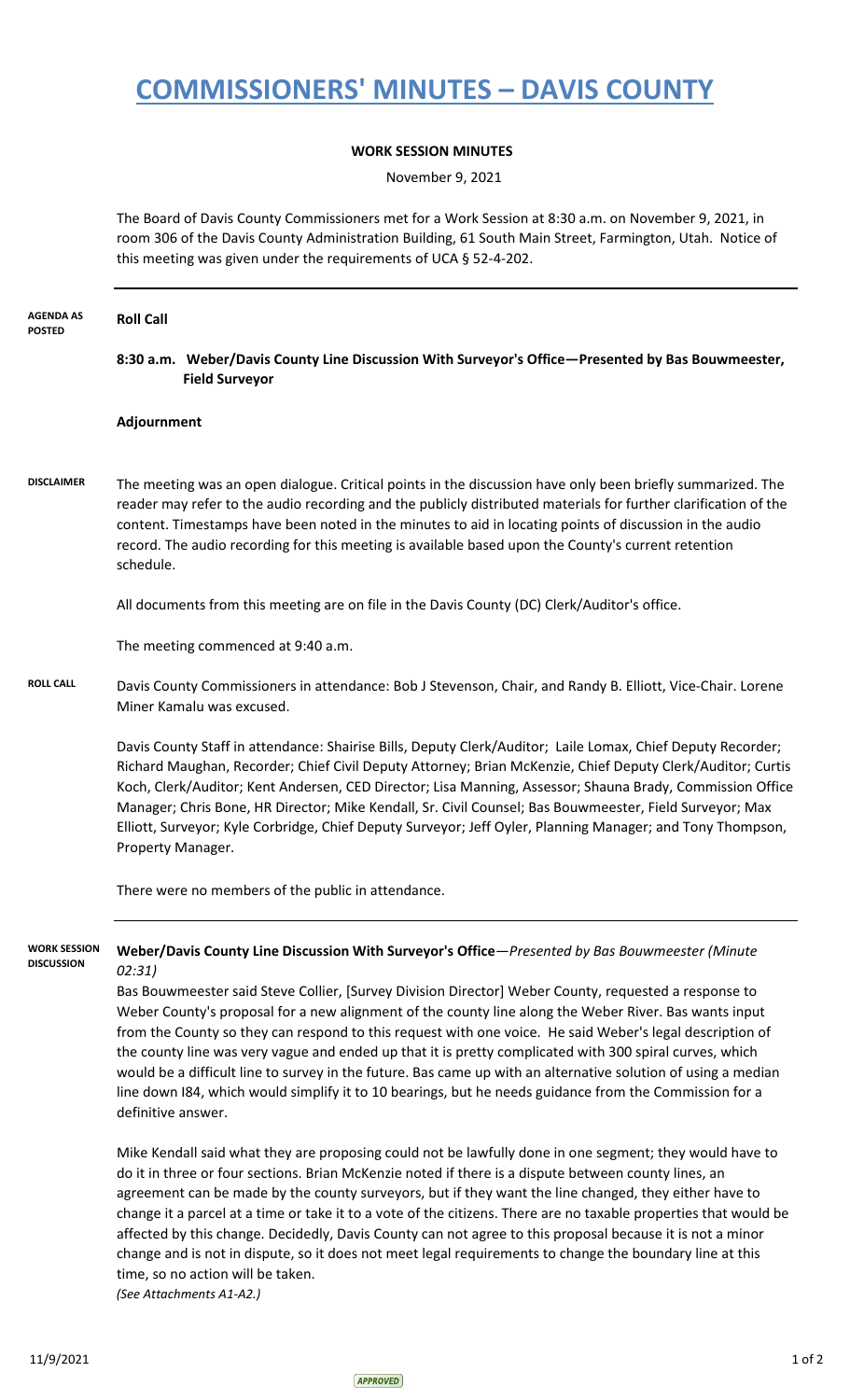## **COMMISSIONERS' MINUTES – DAVIS COUNTY**

## **WORK SESSION MINUTES**

November 9, 2021

The Board of Davis County Commissioners met for a Work Session at 8:30 a.m. on November 9, 2021, in room 306 of the Davis County Administration Building, 61 South Main Street, Farmington, Utah. Notice of this meeting was given under the requirements of UCA § 52-4-202.

| <b>AGENDA AS</b><br><b>POSTED</b>        | <b>Roll Call</b>                                                                                                                                                                                                                                                                                                                                                                                                                                                                                                                                                                                                                                                                                                                                                                                  |                                                                                                                                                                                                                                                                                                                                                                                                                                                                                                                                                                                                                                                                                                            |  |
|------------------------------------------|---------------------------------------------------------------------------------------------------------------------------------------------------------------------------------------------------------------------------------------------------------------------------------------------------------------------------------------------------------------------------------------------------------------------------------------------------------------------------------------------------------------------------------------------------------------------------------------------------------------------------------------------------------------------------------------------------------------------------------------------------------------------------------------------------|------------------------------------------------------------------------------------------------------------------------------------------------------------------------------------------------------------------------------------------------------------------------------------------------------------------------------------------------------------------------------------------------------------------------------------------------------------------------------------------------------------------------------------------------------------------------------------------------------------------------------------------------------------------------------------------------------------|--|
|                                          |                                                                                                                                                                                                                                                                                                                                                                                                                                                                                                                                                                                                                                                                                                                                                                                                   | 8:30 a.m. Weber/Davis County Line Discussion With Surveyor's Office-Presented by Bas Bouwmeester,<br><b>Field Surveyor</b>                                                                                                                                                                                                                                                                                                                                                                                                                                                                                                                                                                                 |  |
|                                          | Adjournment                                                                                                                                                                                                                                                                                                                                                                                                                                                                                                                                                                                                                                                                                                                                                                                       |                                                                                                                                                                                                                                                                                                                                                                                                                                                                                                                                                                                                                                                                                                            |  |
| <b>DISCLAIMER</b>                        | schedule.                                                                                                                                                                                                                                                                                                                                                                                                                                                                                                                                                                                                                                                                                                                                                                                         | The meeting was an open dialogue. Critical points in the discussion have only been briefly summarized. The<br>reader may refer to the audio recording and the publicly distributed materials for further clarification of the<br>content. Timestamps have been noted in the minutes to aid in locating points of discussion in the audio<br>record. The audio recording for this meeting is available based upon the County's current retention                                                                                                                                                                                                                                                            |  |
|                                          |                                                                                                                                                                                                                                                                                                                                                                                                                                                                                                                                                                                                                                                                                                                                                                                                   | All documents from this meeting are on file in the Davis County (DC) Clerk/Auditor's office.                                                                                                                                                                                                                                                                                                                                                                                                                                                                                                                                                                                                               |  |
|                                          |                                                                                                                                                                                                                                                                                                                                                                                                                                                                                                                                                                                                                                                                                                                                                                                                   | The meeting commenced at 9:40 a.m.                                                                                                                                                                                                                                                                                                                                                                                                                                                                                                                                                                                                                                                                         |  |
| <b>ROLL CALL</b>                         | Davis County Commissioners in attendance: Bob J Stevenson, Chair, and Randy B. Elliott, Vice-Chair. Lorene<br>Miner Kamalu was excused.                                                                                                                                                                                                                                                                                                                                                                                                                                                                                                                                                                                                                                                           |                                                                                                                                                                                                                                                                                                                                                                                                                                                                                                                                                                                                                                                                                                            |  |
|                                          | Property Manager.                                                                                                                                                                                                                                                                                                                                                                                                                                                                                                                                                                                                                                                                                                                                                                                 | Davis County Staff in attendance: Shairise Bills, Deputy Clerk/Auditor; Laile Lomax, Chief Deputy Recorder;<br>Richard Maughan, Recorder; Chief Civil Deputy Attorney; Brian McKenzie, Chief Deputy Clerk/Auditor; Curtis<br>Koch, Clerk/Auditor; Kent Andersen, CED Director; Lisa Manning, Assessor; Shauna Brady, Commission Office<br>Manager; Chris Bone, HR Director; Mike Kendall, Sr. Civil Counsel; Bas Bouwmeester, Field Surveyor; Max<br>Elliott, Surveyor; Kyle Corbridge, Chief Deputy Surveyor; Jeff Oyler, Planning Manager; and Tony Thompson,                                                                                                                                            |  |
|                                          | There were no members of the public in attendance.                                                                                                                                                                                                                                                                                                                                                                                                                                                                                                                                                                                                                                                                                                                                                |                                                                                                                                                                                                                                                                                                                                                                                                                                                                                                                                                                                                                                                                                                            |  |
| <b>WORK SESSION</b><br><b>DISCUSSION</b> | Weber/Davis County Line Discussion With Surveyor's Office-Presented by Bas Bouwmeester (Minute<br>02:31)<br>Bas Bouwmeester said Steve Collier, [Survey Division Director] Weber County, requested a response to<br>Weber County's proposal for a new alignment of the county line along the Weber River. Bas wants input<br>from the County so they can respond to this request with one voice. He said Weber's legal description of<br>the county line was very vague and ended up that it is pretty complicated with 300 spiral curves, which<br>would be a difficult line to survey in the future. Bas came up with an alternative solution of using a median<br>line down I84, which would simplify it to 10 bearings, but he needs guidance from the Commission for a<br>definitive answer. |                                                                                                                                                                                                                                                                                                                                                                                                                                                                                                                                                                                                                                                                                                            |  |
|                                          |                                                                                                                                                                                                                                                                                                                                                                                                                                                                                                                                                                                                                                                                                                                                                                                                   | Mike Kendall said what they are proposing could not be lawfully done in one segment; they would have to<br>do it in three or four sections. Brian McKenzie noted if there is a dispute between county lines, an<br>agreement can be made by the county surveyors, but if they want the line changed, they either have to<br>change it a parcel at a time or take it to a vote of the citizens. There are no taxable properties that would be<br>affected by this change. Decidedly, Davis County can not agree to this proposal because it is not a minor<br>change and is not in dispute, so it does not meet legal requirements to change the boundary line at this<br>time, so no action will be taken. |  |

*(See Attachments A1-A2.)*